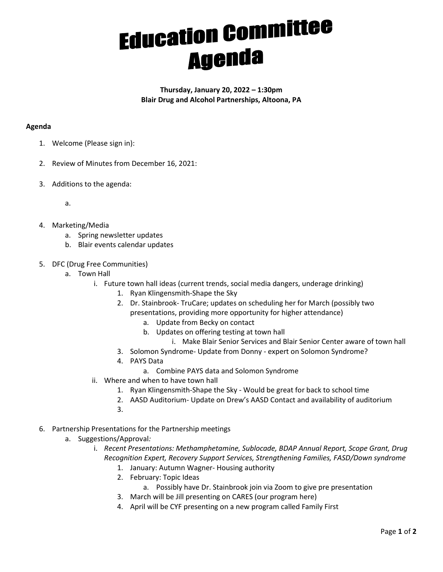## **Education Committee**

Thursday, January 20, 2022 – 1:30pm Blair Drug and Alcohol Partnerships, Altoona, PA

## Agenda

- 1. Welcome (Please sign in):
- 2. Review of Minutes from December 16, 2021:
- 3. Additions to the agenda:

a.

- 4. Marketing/Media
	- a. Spring newsletter updates
	- b. Blair events calendar updates
- 5. DFC (Drug Free Communities)
	- a. Town Hall
		- i. Future town hall ideas (current trends, social media dangers, underage drinking)
			- 1. Ryan Klingensmith-Shape the Sky
			- 2. Dr. Stainbrook- TruCare; updates on scheduling her for March (possibly two presentations, providing more opportunity for higher attendance)
				- a. Update from Becky on contact
				- b. Updates on offering testing at town hall
				- i. Make Blair Senior Services and Blair Senior Center aware of town hall
			- 3. Solomon Syndrome- Update from Donny expert on Solomon Syndrome?
			- 4. PAYS Data
				- a. Combine PAYS data and Solomon Syndrome
		- ii. Where and when to have town hall
			- 1. Ryan Klingensmith-Shape the Sky Would be great for back to school time
			- 2. AASD Auditorium- Update on Drew's AASD Contact and availability of auditorium
			- 3.
- 6. Partnership Presentations for the Partnership meetings
	- a. Suggestions/Approval:
		- i. Recent Presentations: Methamphetamine, Sublocade, BDAP Annual Report, Scope Grant, Drug Recognition Expert, Recovery Support Services, Strengthening Families, FASD/Down syndrome
			- 1. January: Autumn Wagner- Housing authority
			- 2. February: Topic Ideas
			- a. Possibly have Dr. Stainbrook join via Zoom to give pre presentation
			- 3. March will be Jill presenting on CARES (our program here)
			- 4. April will be CYF presenting on a new program called Family First